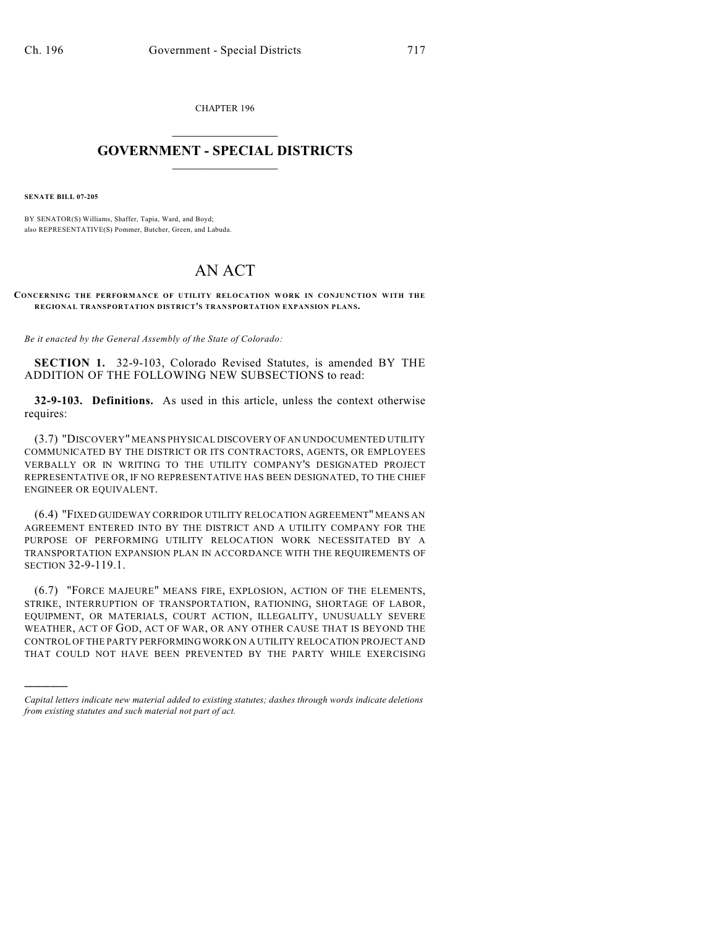CHAPTER 196  $\overline{\phantom{a}}$  . The set of the set of the set of the set of the set of the set of the set of the set of the set of the set of the set of the set of the set of the set of the set of the set of the set of the set of the set o

## **GOVERNMENT - SPECIAL DISTRICTS**  $\_$   $\_$

**SENATE BILL 07-205**

)))))

BY SENATOR(S) Williams, Shaffer, Tapia, Ward, and Boyd; also REPRESENTATIVE(S) Pommer, Butcher, Green, and Labuda.

## AN ACT

**CONCERNING THE PERFORMANCE OF UTILITY RELOCATION WORK IN CONJUNCTION WITH THE REGIONAL TRANSPORTATION DISTRICT'S TRANSPORTATION EXPANSION PLANS.**

*Be it enacted by the General Assembly of the State of Colorado:*

**SECTION 1.** 32-9-103, Colorado Revised Statutes, is amended BY THE ADDITION OF THE FOLLOWING NEW SUBSECTIONS to read:

**32-9-103. Definitions.** As used in this article, unless the context otherwise requires:

(3.7) "DISCOVERY" MEANS PHYSICAL DISCOVERY OF AN UNDOCUMENTED UTILITY COMMUNICATED BY THE DISTRICT OR ITS CONTRACTORS, AGENTS, OR EMPLOYEES VERBALLY OR IN WRITING TO THE UTILITY COMPANY'S DESIGNATED PROJECT REPRESENTATIVE OR, IF NO REPRESENTATIVE HAS BEEN DESIGNATED, TO THE CHIEF ENGINEER OR EQUIVALENT.

(6.4) "FIXED GUIDEWAY CORRIDOR UTILITY RELOCATION AGREEMENT" MEANS AN AGREEMENT ENTERED INTO BY THE DISTRICT AND A UTILITY COMPANY FOR THE PURPOSE OF PERFORMING UTILITY RELOCATION WORK NECESSITATED BY A TRANSPORTATION EXPANSION PLAN IN ACCORDANCE WITH THE REQUIREMENTS OF SECTION 32-9-119.1.

(6.7) "FORCE MAJEURE" MEANS FIRE, EXPLOSION, ACTION OF THE ELEMENTS, STRIKE, INTERRUPTION OF TRANSPORTATION, RATIONING, SHORTAGE OF LABOR, EQUIPMENT, OR MATERIALS, COURT ACTION, ILLEGALITY, UNUSUALLY SEVERE WEATHER, ACT OF GOD, ACT OF WAR, OR ANY OTHER CAUSE THAT IS BEYOND THE CONTROL OF THE PARTY PERFORMING WORK ON A UTILITY RELOCATION PROJECT AND THAT COULD NOT HAVE BEEN PREVENTED BY THE PARTY WHILE EXERCISING

*Capital letters indicate new material added to existing statutes; dashes through words indicate deletions from existing statutes and such material not part of act.*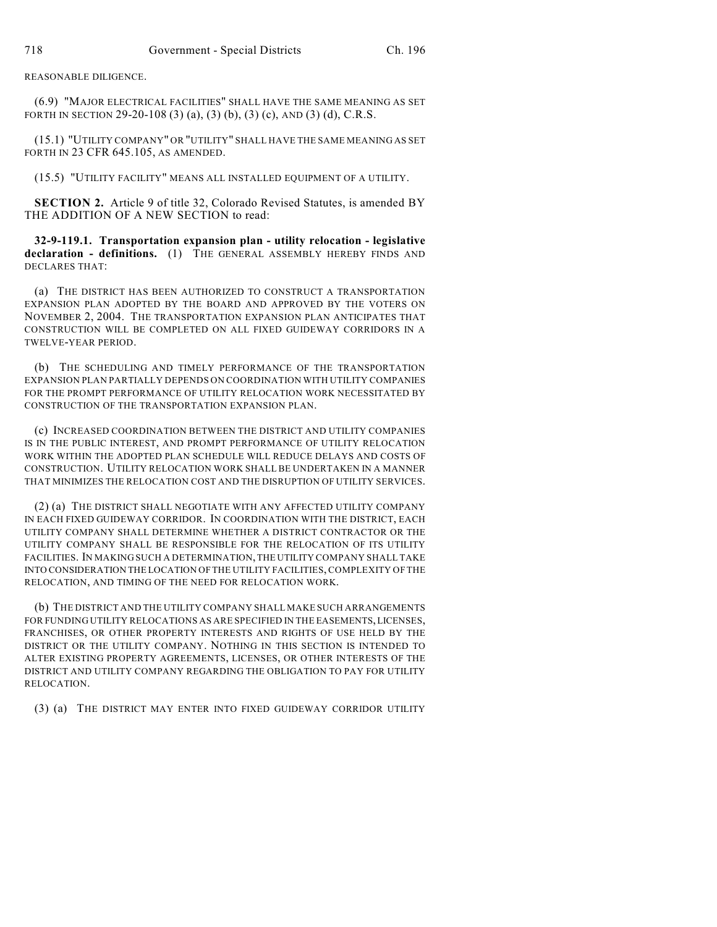REASONABLE DILIGENCE.

(6.9) "MAJOR ELECTRICAL FACILITIES" SHALL HAVE THE SAME MEANING AS SET FORTH IN SECTION 29-20-108 (3) (a), (3) (b), (3) (c), AND (3) (d), C.R.S.

(15.1) "UTILITY COMPANY" OR "UTILITY" SHALL HAVE THE SAME MEANING AS SET FORTH IN 23 CFR 645.105, AS AMENDED.

(15.5) "UTILITY FACILITY" MEANS ALL INSTALLED EQUIPMENT OF A UTILITY.

**SECTION 2.** Article 9 of title 32, Colorado Revised Statutes, is amended BY THE ADDITION OF A NEW SECTION to read:

**32-9-119.1. Transportation expansion plan - utility relocation - legislative declaration - definitions.** (1) THE GENERAL ASSEMBLY HEREBY FINDS AND DECLARES THAT:

(a) THE DISTRICT HAS BEEN AUTHORIZED TO CONSTRUCT A TRANSPORTATION EXPANSION PLAN ADOPTED BY THE BOARD AND APPROVED BY THE VOTERS ON NOVEMBER 2, 2004. THE TRANSPORTATION EXPANSION PLAN ANTICIPATES THAT CONSTRUCTION WILL BE COMPLETED ON ALL FIXED GUIDEWAY CORRIDORS IN A TWELVE-YEAR PERIOD.

(b) THE SCHEDULING AND TIMELY PERFORMANCE OF THE TRANSPORTATION EXPANSION PLAN PARTIALLY DEPENDS ON COORDINATION WITH UTILITY COMPANIES FOR THE PROMPT PERFORMANCE OF UTILITY RELOCATION WORK NECESSITATED BY CONSTRUCTION OF THE TRANSPORTATION EXPANSION PLAN.

(c) INCREASED COORDINATION BETWEEN THE DISTRICT AND UTILITY COMPANIES IS IN THE PUBLIC INTEREST, AND PROMPT PERFORMANCE OF UTILITY RELOCATION WORK WITHIN THE ADOPTED PLAN SCHEDULE WILL REDUCE DELAYS AND COSTS OF CONSTRUCTION. UTILITY RELOCATION WORK SHALL BE UNDERTAKEN IN A MANNER THAT MINIMIZES THE RELOCATION COST AND THE DISRUPTION OF UTILITY SERVICES.

(2) (a) THE DISTRICT SHALL NEGOTIATE WITH ANY AFFECTED UTILITY COMPANY IN EACH FIXED GUIDEWAY CORRIDOR. IN COORDINATION WITH THE DISTRICT, EACH UTILITY COMPANY SHALL DETERMINE WHETHER A DISTRICT CONTRACTOR OR THE UTILITY COMPANY SHALL BE RESPONSIBLE FOR THE RELOCATION OF ITS UTILITY FACILITIES. IN MAKING SUCH A DETERMINATION, THE UTILITY COMPANY SHALL TAKE INTO CONSIDERATION THE LOCATION OF THE UTILITY FACILITIES, COMPLEXITY OF THE RELOCATION, AND TIMING OF THE NEED FOR RELOCATION WORK.

(b) THE DISTRICT AND THE UTILITY COMPANY SHALL MAKE SUCH ARRANGEMENTS FOR FUNDING UTILITY RELOCATIONS AS ARE SPECIFIED IN THE EASEMENTS, LICENSES, FRANCHISES, OR OTHER PROPERTY INTERESTS AND RIGHTS OF USE HELD BY THE DISTRICT OR THE UTILITY COMPANY. NOTHING IN THIS SECTION IS INTENDED TO ALTER EXISTING PROPERTY AGREEMENTS, LICENSES, OR OTHER INTERESTS OF THE DISTRICT AND UTILITY COMPANY REGARDING THE OBLIGATION TO PAY FOR UTILITY RELOCATION.

(3) (a) THE DISTRICT MAY ENTER INTO FIXED GUIDEWAY CORRIDOR UTILITY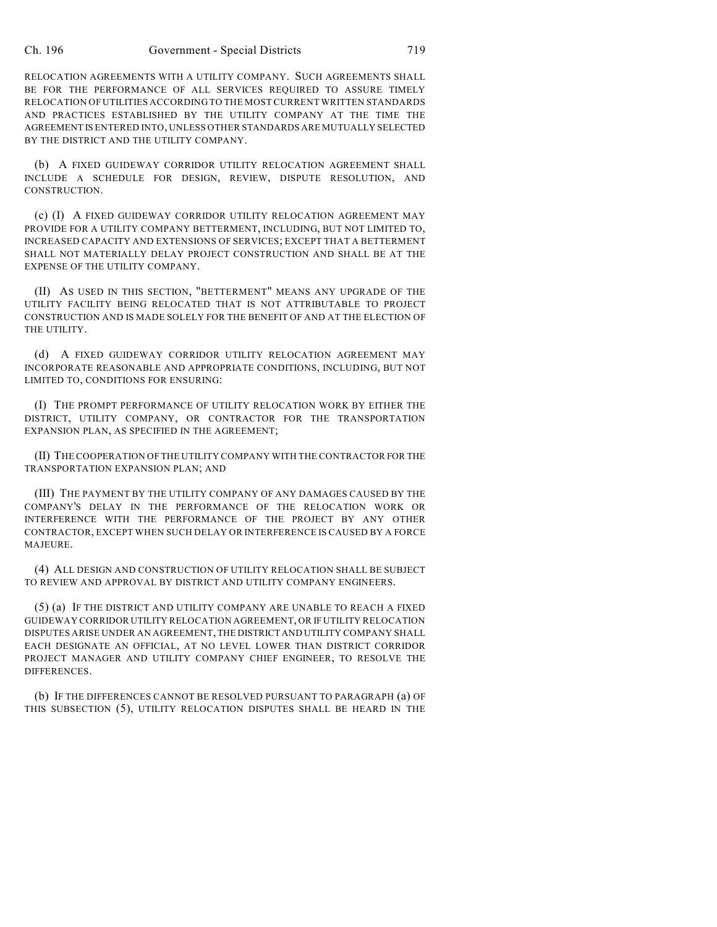RELOCATION AGREEMENTS WITH A UTILITY COMPANY. SUCH AGREEMENTS SHALL BE FOR THE PERFORMANCE OF ALL SERVICES REQUIRED TO ASSURE TIMELY RELOCATION OF UTILITIES ACCORDING TO THE MOST CURRENT WRITTEN STANDARDS AND PRACTICES ESTABLISHED BY THE UTILITY COMPANY AT THE TIME THE AGREEMENT IS ENTERED INTO, UNLESS OTHER STANDARDS ARE MUTUALLY SELECTED BY THE DISTRICT AND THE UTILITY COMPANY.

(b) A FIXED GUIDEWAY CORRIDOR UTILITY RELOCATION AGREEMENT SHALL INCLUDE A SCHEDULE FOR DESIGN, REVIEW, DISPUTE RESOLUTION, AND CONSTRUCTION.

(c) (I) A FIXED GUIDEWAY CORRIDOR UTILITY RELOCATION AGREEMENT MAY PROVIDE FOR A UTILITY COMPANY BETTERMENT, INCLUDING, BUT NOT LIMITED TO, INCREASED CAPACITY AND EXTENSIONS OF SERVICES; EXCEPT THAT A BETTERMENT SHALL NOT MATERIALLY DELAY PROJECT CONSTRUCTION AND SHALL BE AT THE EXPENSE OF THE UTILITY COMPANY.

(II) AS USED IN THIS SECTION, "BETTERMENT" MEANS ANY UPGRADE OF THE UTILITY FACILITY BEING RELOCATED THAT IS NOT ATTRIBUTABLE TO PROJECT CONSTRUCTION AND IS MADE SOLELY FOR THE BENEFIT OF AND AT THE ELECTION OF THE UTILITY.

(d) A FIXED GUIDEWAY CORRIDOR UTILITY RELOCATION AGREEMENT MAY INCORPORATE REASONABLE AND APPROPRIATE CONDITIONS, INCLUDING, BUT NOT LIMITED TO, CONDITIONS FOR ENSURING:

(I) THE PROMPT PERFORMANCE OF UTILITY RELOCATION WORK BY EITHER THE DISTRICT, UTILITY COMPANY, OR CONTRACTOR FOR THE TRANSPORTATION EXPANSION PLAN, AS SPECIFIED IN THE AGREEMENT;

(II) THE COOPERATION OF THE UTILITY COMPANY WITH THE CONTRACTOR FOR THE TRANSPORTATION EXPANSION PLAN; AND

(III) THE PAYMENT BY THE UTILITY COMPANY OF ANY DAMAGES CAUSED BY THE COMPANY'S DELAY IN THE PERFORMANCE OF THE RELOCATION WORK OR INTERFERENCE WITH THE PERFORMANCE OF THE PROJECT BY ANY OTHER CONTRACTOR, EXCEPT WHEN SUCH DELAY OR INTERFERENCE IS CAUSED BY A FORCE MAJEURE.

(4) ALL DESIGN AND CONSTRUCTION OF UTILITY RELOCATION SHALL BE SUBJECT TO REVIEW AND APPROVAL BY DISTRICT AND UTILITY COMPANY ENGINEERS.

(5) (a) IF THE DISTRICT AND UTILITY COMPANY ARE UNABLE TO REACH A FIXED GUIDEWAY CORRIDOR UTILITY RELOCATION AGREEMENT, OR IF UTILITY RELOCATION DISPUTES ARISE UNDER AN AGREEMENT, THE DISTRICT AND UTILITY COMPANY SHALL EACH DESIGNATE AN OFFICIAL, AT NO LEVEL LOWER THAN DISTRICT CORRIDOR PROJECT MANAGER AND UTILITY COMPANY CHIEF ENGINEER, TO RESOLVE THE DIFFERENCES.

(b) IF THE DIFFERENCES CANNOT BE RESOLVED PURSUANT TO PARAGRAPH (a) OF THIS SUBSECTION (5), UTILITY RELOCATION DISPUTES SHALL BE HEARD IN THE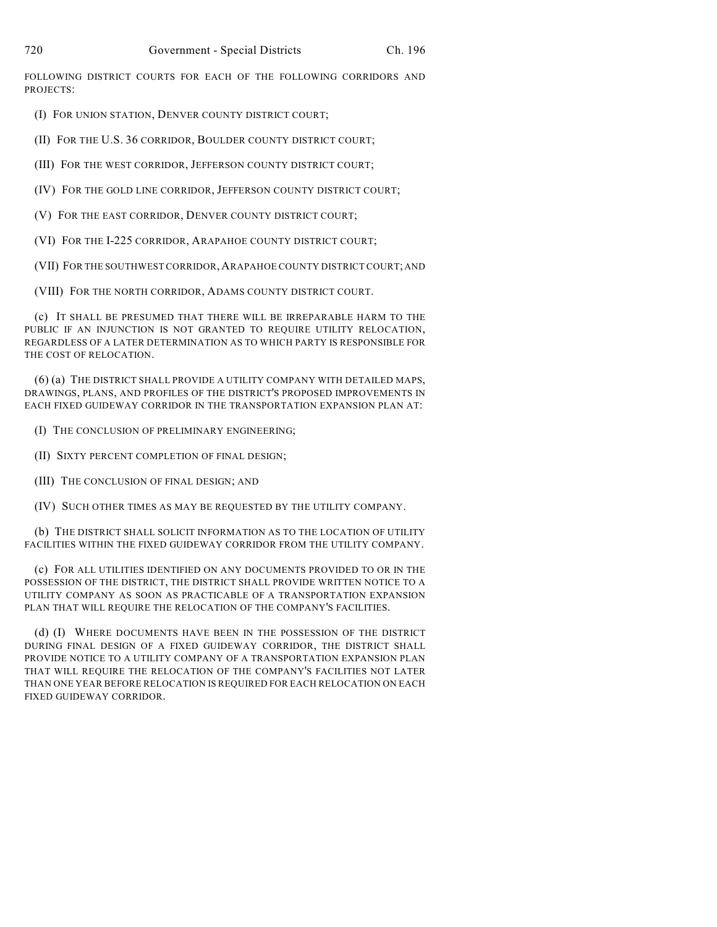FOLLOWING DISTRICT COURTS FOR EACH OF THE FOLLOWING CORRIDORS AND PROJECTS:

(I) FOR UNION STATION, DENVER COUNTY DISTRICT COURT;

(II) FOR THE U.S. 36 CORRIDOR, BOULDER COUNTY DISTRICT COURT;

(III) FOR THE WEST CORRIDOR, JEFFERSON COUNTY DISTRICT COURT;

- (IV) FOR THE GOLD LINE CORRIDOR, JEFFERSON COUNTY DISTRICT COURT;
- (V) FOR THE EAST CORRIDOR, DENVER COUNTY DISTRICT COURT;
- (VI) FOR THE I-225 CORRIDOR, ARAPAHOE COUNTY DISTRICT COURT;

(VII) FOR THE SOUTHWEST CORRIDOR,ARAPAHOE COUNTY DISTRICT COURT; AND

(VIII) FOR THE NORTH CORRIDOR, ADAMS COUNTY DISTRICT COURT.

(c) IT SHALL BE PRESUMED THAT THERE WILL BE IRREPARABLE HARM TO THE PUBLIC IF AN INJUNCTION IS NOT GRANTED TO REQUIRE UTILITY RELOCATION, REGARDLESS OF A LATER DETERMINATION AS TO WHICH PARTY IS RESPONSIBLE FOR THE COST OF RELOCATION.

(6) (a) THE DISTRICT SHALL PROVIDE A UTILITY COMPANY WITH DETAILED MAPS, DRAWINGS, PLANS, AND PROFILES OF THE DISTRICT'S PROPOSED IMPROVEMENTS IN EACH FIXED GUIDEWAY CORRIDOR IN THE TRANSPORTATION EXPANSION PLAN AT:

- (I) THE CONCLUSION OF PRELIMINARY ENGINEERING;
- (II) SIXTY PERCENT COMPLETION OF FINAL DESIGN;
- (III) THE CONCLUSION OF FINAL DESIGN; AND
- (IV) SUCH OTHER TIMES AS MAY BE REQUESTED BY THE UTILITY COMPANY.

(b) THE DISTRICT SHALL SOLICIT INFORMATION AS TO THE LOCATION OF UTILITY FACILITIES WITHIN THE FIXED GUIDEWAY CORRIDOR FROM THE UTILITY COMPANY.

(c) FOR ALL UTILITIES IDENTIFIED ON ANY DOCUMENTS PROVIDED TO OR IN THE POSSESSION OF THE DISTRICT, THE DISTRICT SHALL PROVIDE WRITTEN NOTICE TO A UTILITY COMPANY AS SOON AS PRACTICABLE OF A TRANSPORTATION EXPANSION PLAN THAT WILL REQUIRE THE RELOCATION OF THE COMPANY'S FACILITIES.

(d) (I) WHERE DOCUMENTS HAVE BEEN IN THE POSSESSION OF THE DISTRICT DURING FINAL DESIGN OF A FIXED GUIDEWAY CORRIDOR, THE DISTRICT SHALL PROVIDE NOTICE TO A UTILITY COMPANY OF A TRANSPORTATION EXPANSION PLAN THAT WILL REQUIRE THE RELOCATION OF THE COMPANY'S FACILITIES NOT LATER THAN ONE YEAR BEFORE RELOCATION IS REQUIRED FOR EACH RELOCATION ON EACH FIXED GUIDEWAY CORRIDOR.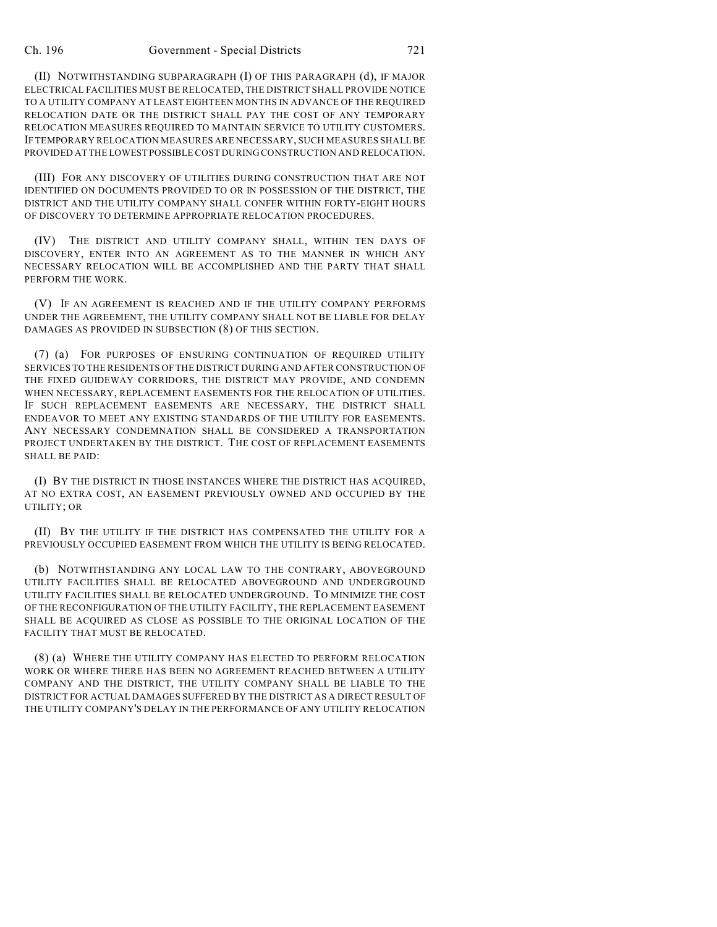(II) NOTWITHSTANDING SUBPARAGRAPH (I) OF THIS PARAGRAPH (d), IF MAJOR ELECTRICAL FACILITIES MUST BE RELOCATED, THE DISTRICT SHALL PROVIDE NOTICE TO A UTILITY COMPANY AT LEAST EIGHTEEN MONTHS IN ADVANCE OF THE REQUIRED RELOCATION DATE OR THE DISTRICT SHALL PAY THE COST OF ANY TEMPORARY RELOCATION MEASURES REQUIRED TO MAINTAIN SERVICE TO UTILITY CUSTOMERS. IF TEMPORARY RELOCATION MEASURES ARE NECESSARY, SUCH MEASURES SHALL BE PROVIDED AT THE LOWEST POSSIBLE COST DURING CONSTRUCTION AND RELOCATION.

(III) FOR ANY DISCOVERY OF UTILITIES DURING CONSTRUCTION THAT ARE NOT IDENTIFIED ON DOCUMENTS PROVIDED TO OR IN POSSESSION OF THE DISTRICT, THE DISTRICT AND THE UTILITY COMPANY SHALL CONFER WITHIN FORTY-EIGHT HOURS OF DISCOVERY TO DETERMINE APPROPRIATE RELOCATION PROCEDURES.

(IV) THE DISTRICT AND UTILITY COMPANY SHALL, WITHIN TEN DAYS OF DISCOVERY, ENTER INTO AN AGREEMENT AS TO THE MANNER IN WHICH ANY NECESSARY RELOCATION WILL BE ACCOMPLISHED AND THE PARTY THAT SHALL PERFORM THE WORK.

(V) IF AN AGREEMENT IS REACHED AND IF THE UTILITY COMPANY PERFORMS UNDER THE AGREEMENT, THE UTILITY COMPANY SHALL NOT BE LIABLE FOR DELAY DAMAGES AS PROVIDED IN SUBSECTION (8) OF THIS SECTION.

(7) (a) FOR PURPOSES OF ENSURING CONTINUATION OF REQUIRED UTILITY SERVICES TO THE RESIDENTS OF THE DISTRICT DURING AND AFTER CONSTRUCTION OF THE FIXED GUIDEWAY CORRIDORS, THE DISTRICT MAY PROVIDE, AND CONDEMN WHEN NECESSARY, REPLACEMENT EASEMENTS FOR THE RELOCATION OF UTILITIES. IF SUCH REPLACEMENT EASEMENTS ARE NECESSARY, THE DISTRICT SHALL ENDEAVOR TO MEET ANY EXISTING STANDARDS OF THE UTILITY FOR EASEMENTS. ANY NECESSARY CONDEMNATION SHALL BE CONSIDERED A TRANSPORTATION PROJECT UNDERTAKEN BY THE DISTRICT. THE COST OF REPLACEMENT EASEMENTS SHALL BE PAID:

(I) BY THE DISTRICT IN THOSE INSTANCES WHERE THE DISTRICT HAS ACQUIRED, AT NO EXTRA COST, AN EASEMENT PREVIOUSLY OWNED AND OCCUPIED BY THE UTILITY; OR

(II) BY THE UTILITY IF THE DISTRICT HAS COMPENSATED THE UTILITY FOR A PREVIOUSLY OCCUPIED EASEMENT FROM WHICH THE UTILITY IS BEING RELOCATED.

(b) NOTWITHSTANDING ANY LOCAL LAW TO THE CONTRARY, ABOVEGROUND UTILITY FACILITIES SHALL BE RELOCATED ABOVEGROUND AND UNDERGROUND UTILITY FACILITIES SHALL BE RELOCATED UNDERGROUND. TO MINIMIZE THE COST OF THE RECONFIGURATION OF THE UTILITY FACILITY, THE REPLACEMENT EASEMENT SHALL BE ACQUIRED AS CLOSE AS POSSIBLE TO THE ORIGINAL LOCATION OF THE FACILITY THAT MUST BE RELOCATED.

(8) (a) WHERE THE UTILITY COMPANY HAS ELECTED TO PERFORM RELOCATION WORK OR WHERE THERE HAS BEEN NO AGREEMENT REACHED BETWEEN A UTILITY COMPANY AND THE DISTRICT, THE UTILITY COMPANY SHALL BE LIABLE TO THE DISTRICT FOR ACTUAL DAMAGES SUFFERED BY THE DISTRICT AS A DIRECT RESULT OF THE UTILITY COMPANY'S DELAY IN THE PERFORMANCE OF ANY UTILITY RELOCATION